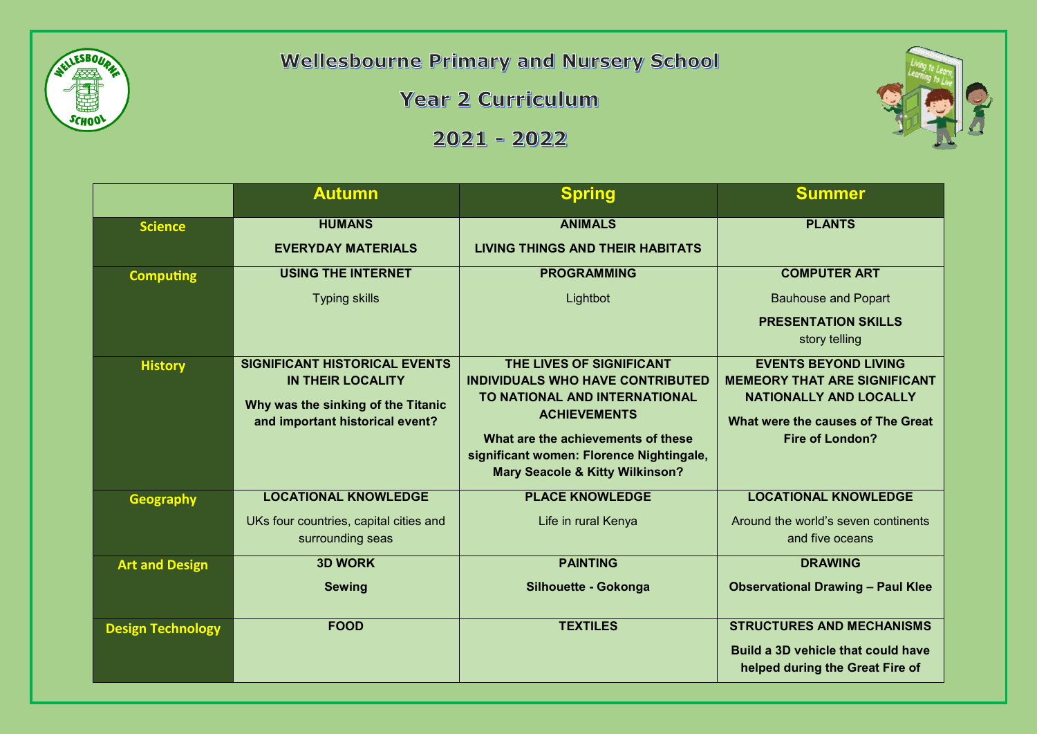

**Wellesbourne Primary and Nursery School** 

Year 2 Curriculum

 $2021 - 2022$ 



|                          | <b>Autumn</b>                                                                                                                             | <b>Spring</b>                                                                                                                                                                                                                                               | <b>Summer</b>                                                                                                                                                      |
|--------------------------|-------------------------------------------------------------------------------------------------------------------------------------------|-------------------------------------------------------------------------------------------------------------------------------------------------------------------------------------------------------------------------------------------------------------|--------------------------------------------------------------------------------------------------------------------------------------------------------------------|
| <b>Science</b>           | <b>HUMANS</b><br><b>EVERYDAY MATERIALS</b>                                                                                                | <b>ANIMALS</b><br><b>LIVING THINGS AND THEIR HABITATS</b>                                                                                                                                                                                                   | <b>PLANTS</b>                                                                                                                                                      |
| <b>Computing</b>         | <b>USING THE INTERNET</b><br><b>Typing skills</b>                                                                                         | <b>PROGRAMMING</b><br>Lightbot                                                                                                                                                                                                                              | <b>COMPUTER ART</b><br><b>Bauhouse and Popart</b><br><b>PRESENTATION SKILLS</b><br>story telling                                                                   |
| <b>History</b>           | <b>SIGNIFICANT HISTORICAL EVENTS</b><br><b>IN THEIR LOCALITY</b><br>Why was the sinking of the Titanic<br>and important historical event? | THE LIVES OF SIGNIFICANT<br><b>INDIVIDUALS WHO HAVE CONTRIBUTED</b><br>TO NATIONAL AND INTERNATIONAL<br><b>ACHIEVEMENTS</b><br>What are the achievements of these<br>significant women: Florence Nightingale,<br><b>Mary Seacole &amp; Kitty Wilkinson?</b> | <b>EVENTS BEYOND LIVING</b><br><b>MEMEORY THAT ARE SIGNIFICANT</b><br><b>NATIONALLY AND LOCALLY</b><br>What were the causes of The Great<br><b>Fire of London?</b> |
| <b>Geography</b>         | <b>LOCATIONAL KNOWLEDGE</b><br>UKs four countries, capital cities and<br>surrounding seas                                                 | <b>PLACE KNOWLEDGE</b><br>Life in rural Kenya                                                                                                                                                                                                               | <b>LOCATIONAL KNOWLEDGE</b><br>Around the world's seven continents<br>and five oceans                                                                              |
| <b>Art and Design</b>    | <b>3D WORK</b><br><b>Sewing</b>                                                                                                           | <b>PAINTING</b><br>Silhouette - Gokonga                                                                                                                                                                                                                     | <b>DRAWING</b><br><b>Observational Drawing - Paul Klee</b>                                                                                                         |
| <b>Design Technology</b> | <b>FOOD</b>                                                                                                                               | <b>TEXTILES</b>                                                                                                                                                                                                                                             | <b>STRUCTURES AND MECHANISMS</b><br>Build a 3D vehicle that could have<br>helped during the Great Fire of                                                          |